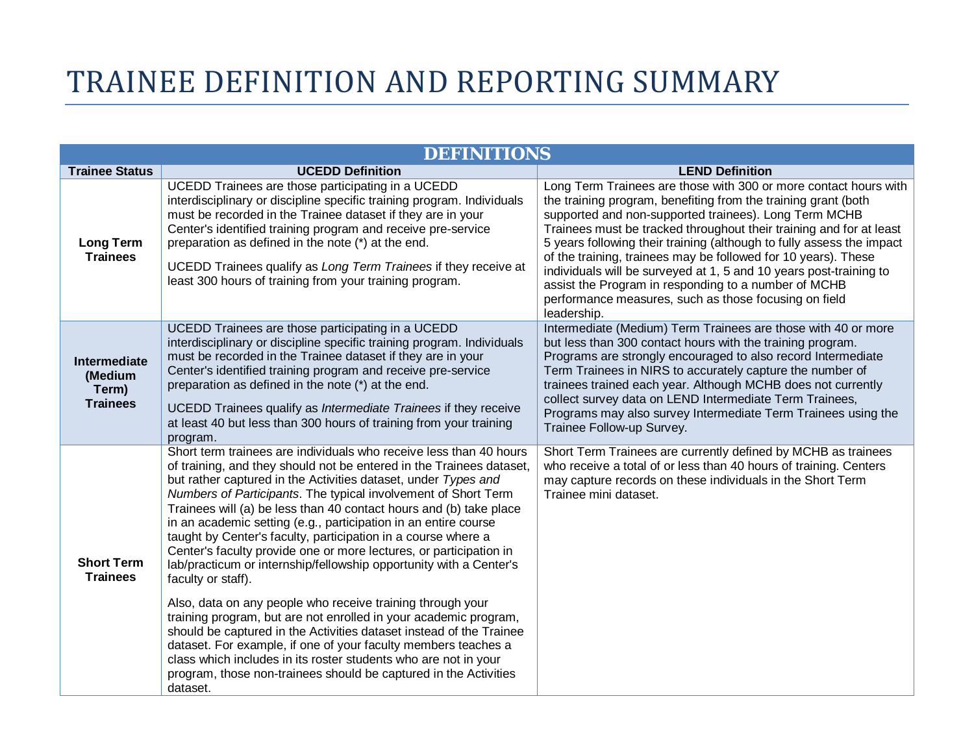## TRAINEE DEFINITION AND REPORTING SUMMARY

|                                                     | <b>DEFINITIONS</b>                                                                                                                                                                                                                                                                                                                                                                                                                                                                                                                                                                                                                                                                                                                                                                                                                                                                                                                                                                                                                                                                       |                                                                                                                                                                                                                                                                                                                                                                                                                                                                                                                                                                                                                     |
|-----------------------------------------------------|------------------------------------------------------------------------------------------------------------------------------------------------------------------------------------------------------------------------------------------------------------------------------------------------------------------------------------------------------------------------------------------------------------------------------------------------------------------------------------------------------------------------------------------------------------------------------------------------------------------------------------------------------------------------------------------------------------------------------------------------------------------------------------------------------------------------------------------------------------------------------------------------------------------------------------------------------------------------------------------------------------------------------------------------------------------------------------------|---------------------------------------------------------------------------------------------------------------------------------------------------------------------------------------------------------------------------------------------------------------------------------------------------------------------------------------------------------------------------------------------------------------------------------------------------------------------------------------------------------------------------------------------------------------------------------------------------------------------|
| <b>Trainee Status</b>                               | <b>UCEDD Definition</b>                                                                                                                                                                                                                                                                                                                                                                                                                                                                                                                                                                                                                                                                                                                                                                                                                                                                                                                                                                                                                                                                  | <b>LEND Definition</b>                                                                                                                                                                                                                                                                                                                                                                                                                                                                                                                                                                                              |
| <b>Long Term</b><br><b>Trainees</b>                 | UCEDD Trainees are those participating in a UCEDD<br>interdisciplinary or discipline specific training program. Individuals<br>must be recorded in the Trainee dataset if they are in your<br>Center's identified training program and receive pre-service<br>preparation as defined in the note (*) at the end.<br>UCEDD Trainees qualify as Long Term Trainees if they receive at<br>least 300 hours of training from your training program.                                                                                                                                                                                                                                                                                                                                                                                                                                                                                                                                                                                                                                           | Long Term Trainees are those with 300 or more contact hours with<br>the training program, benefiting from the training grant (both<br>supported and non-supported trainees). Long Term MCHB<br>Trainees must be tracked throughout their training and for at least<br>5 years following their training (although to fully assess the impact<br>of the training, trainees may be followed for 10 years). These<br>individuals will be surveyed at 1, 5 and 10 years post-training to<br>assist the Program in responding to a number of MCHB<br>performance measures, such as those focusing on field<br>leadership. |
| Intermediate<br>(Medium<br>Term)<br><b>Trainees</b> | UCEDD Trainees are those participating in a UCEDD<br>interdisciplinary or discipline specific training program. Individuals<br>must be recorded in the Trainee dataset if they are in your<br>Center's identified training program and receive pre-service<br>preparation as defined in the note (*) at the end.<br>UCEDD Trainees qualify as Intermediate Trainees if they receive<br>at least 40 but less than 300 hours of training from your training<br>program.                                                                                                                                                                                                                                                                                                                                                                                                                                                                                                                                                                                                                    | Intermediate (Medium) Term Trainees are those with 40 or more<br>but less than 300 contact hours with the training program.<br>Programs are strongly encouraged to also record Intermediate<br>Term Trainees in NIRS to accurately capture the number of<br>trainees trained each year. Although MCHB does not currently<br>collect survey data on LEND Intermediate Term Trainees,<br>Programs may also survey Intermediate Term Trainees using the<br>Trainee Follow-up Survey.                                                                                                                                   |
| <b>Short Term</b><br><b>Trainees</b>                | Short term trainees are individuals who receive less than 40 hours<br>of training, and they should not be entered in the Trainees dataset,<br>but rather captured in the Activities dataset, under Types and<br>Numbers of Participants. The typical involvement of Short Term<br>Trainees will (a) be less than 40 contact hours and (b) take place<br>in an academic setting (e.g., participation in an entire course<br>taught by Center's faculty, participation in a course where a<br>Center's faculty provide one or more lectures, or participation in<br>lab/practicum or internship/fellowship opportunity with a Center's<br>faculty or staff).<br>Also, data on any people who receive training through your<br>training program, but are not enrolled in your academic program,<br>should be captured in the Activities dataset instead of the Trainee<br>dataset. For example, if one of your faculty members teaches a<br>class which includes in its roster students who are not in your<br>program, those non-trainees should be captured in the Activities<br>dataset. | Short Term Trainees are currently defined by MCHB as trainees<br>who receive a total of or less than 40 hours of training. Centers<br>may capture records on these individuals in the Short Term<br>Trainee mini dataset.                                                                                                                                                                                                                                                                                                                                                                                           |